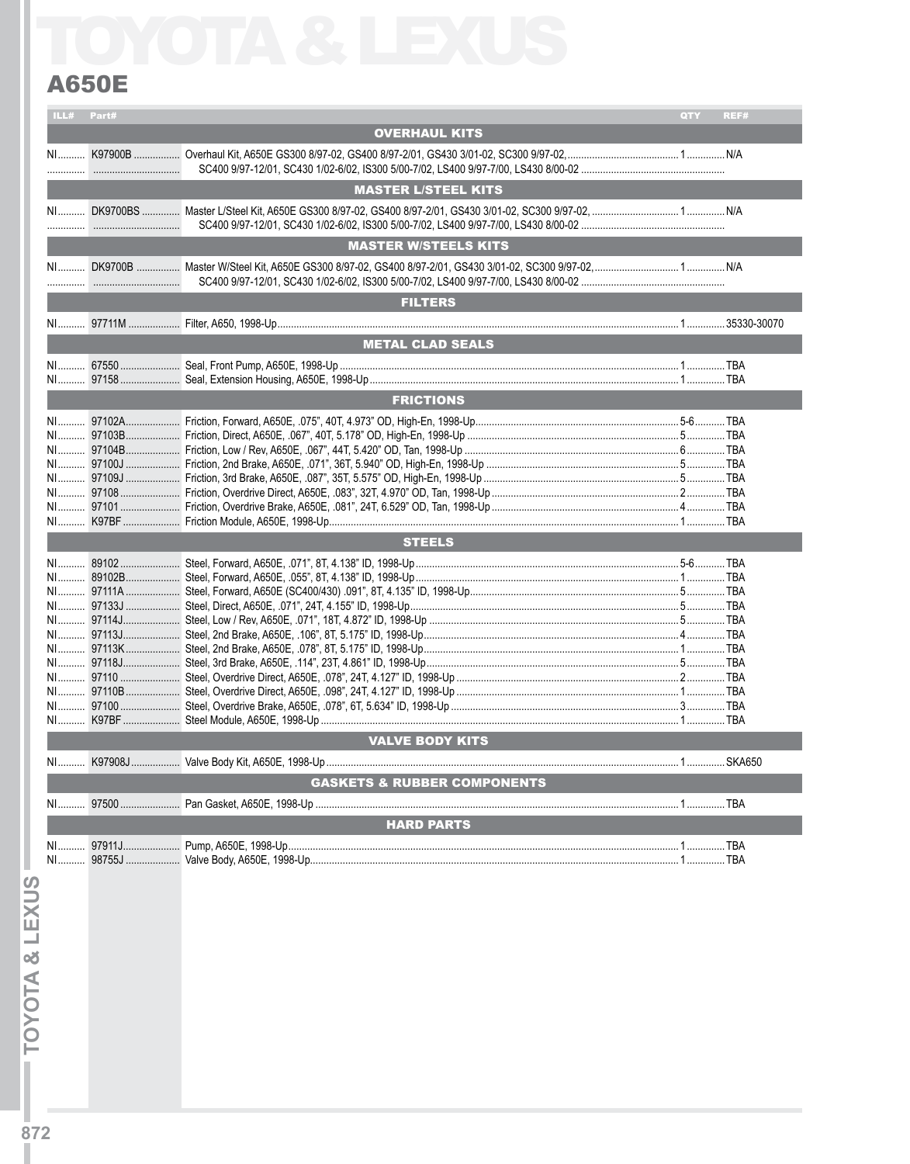## **A650E**

|    | ILL# Part# |                                        | QTY | REF# |
|----|------------|----------------------------------------|-----|------|
|    |            | <b>OVERHAUL KITS</b>                   |     |      |
|    |            |                                        |     |      |
|    |            | <b>MASTER L/STEEL KITS</b>             |     |      |
|    |            |                                        |     |      |
|    |            | <b>MASTER W/STEELS KITS</b>            |     |      |
|    |            |                                        |     |      |
|    |            |                                        |     |      |
|    |            | <b>FILTERS</b>                         |     |      |
|    |            |                                        |     |      |
|    |            | <b>METAL CLAD SEALS</b>                |     |      |
|    |            |                                        |     |      |
|    |            |                                        |     |      |
|    |            | <b>FRICTIONS</b>                       |     |      |
|    |            |                                        |     |      |
|    |            |                                        |     |      |
|    |            |                                        |     |      |
|    |            |                                        |     |      |
|    |            |                                        |     |      |
|    |            |                                        |     |      |
|    |            |                                        |     |      |
|    |            |                                        |     |      |
|    |            | <b>STEELS</b>                          |     |      |
|    |            |                                        |     |      |
|    |            |                                        |     |      |
|    |            |                                        |     |      |
|    |            |                                        |     |      |
|    |            |                                        |     |      |
|    |            |                                        |     |      |
|    |            |                                        |     |      |
|    |            |                                        |     |      |
|    |            |                                        |     |      |
|    |            |                                        |     |      |
|    |            |                                        |     |      |
|    |            |                                        |     |      |
|    |            |                                        |     |      |
|    |            | <b>VALVE BODY KITS</b>                 |     |      |
|    |            |                                        |     |      |
|    |            | <b>GASKETS &amp; RUBBER COMPONENTS</b> |     |      |
|    |            |                                        |     |      |
|    |            |                                        |     |      |
|    |            | <b>HARD PARTS</b>                      |     |      |
|    |            |                                        |     |      |
| NI |            |                                        |     |      |